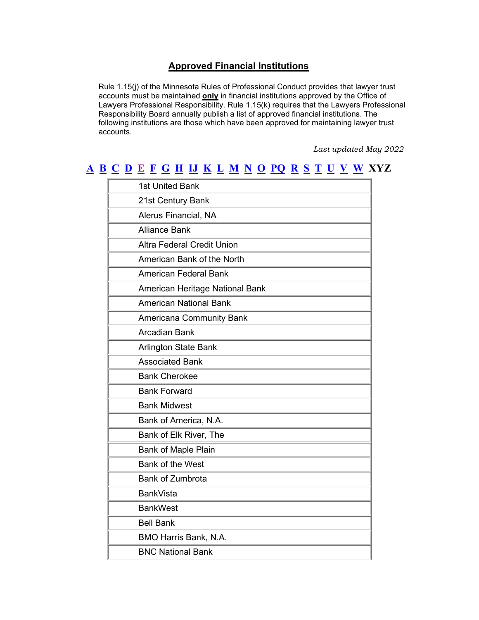## **Approved Financial Institutions**

Rule 1.15(j) of the Minnesota Rules of Professional Conduct provides that lawyer trust accounts must be maintained **only** in financial institutions approved by the Office of Lawyers Professional Responsibility. Rule 1.15(k) requires that the Lawyers Professional Responsibility Board annually publish a list of approved financial institutions. The following institutions are those which have been approved for maintaining lawyer trust accounts.

*Last updated May 2022*

## **[A](#page-0-0) [B](#page-0-1) [C](#page-1-0) [D](#page-1-1) [E](#page-1-2) [F](#page-2-0) [G](#page-3-0) [H](#page-4-0) [IJ](#page-4-1) [K](#page-4-2) [L](#page-4-3) [M](#page-4-4) [N](#page-5-0) [O](#page-5-1) [PQ](#page-5-2) [R](#page-6-0) [S](#page-6-1) [T](#page-7-0) [U](#page-7-1) [V](#page-7-2) [W](#page-7-3) XYZ**

<span id="page-0-1"></span><span id="page-0-0"></span>

| 1st United Bank                   |
|-----------------------------------|
| 21st Century Bank                 |
| Alerus Financial, NA              |
| <b>Alliance Bank</b>              |
| <b>Altra Federal Credit Union</b> |
| American Bank of the North        |
| <b>American Federal Bank</b>      |
| American Heritage National Bank   |
| <b>American National Bank</b>     |
| <b>Americana Community Bank</b>   |
| <b>Arcadian Bank</b>              |
| <b>Arlington State Bank</b>       |
| <b>Associated Bank</b>            |
| <b>Bank Cherokee</b>              |
| <b>Bank Forward</b>               |
| <b>Bank Midwest</b>               |
| Bank of America, N.A.             |
| Bank of Elk River, The            |
| <b>Bank of Maple Plain</b>        |
| Bank of the West                  |
| <b>Bank of Zumbrota</b>           |
| <b>BankVista</b>                  |
| <b>BankWest</b>                   |
| <b>Bell Bank</b>                  |
| BMO Harris Bank, N.A.             |
| <b>BNC National Bank</b>          |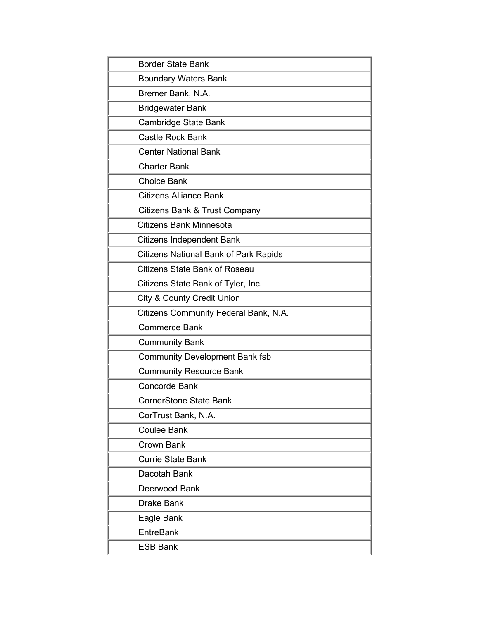<span id="page-1-2"></span><span id="page-1-1"></span><span id="page-1-0"></span>

| <b>Border State Bank</b>                     |
|----------------------------------------------|
| <b>Boundary Waters Bank</b>                  |
| Bremer Bank, N.A.                            |
| <b>Bridgewater Bank</b>                      |
| Cambridge State Bank                         |
| <b>Castle Rock Bank</b>                      |
| <b>Center National Bank</b>                  |
| <b>Charter Bank</b>                          |
| <b>Choice Bank</b>                           |
| <b>Citizens Alliance Bank</b>                |
| Citizens Bank & Trust Company                |
| <b>Citizens Bank Minnesota</b>               |
| <b>Citizens Independent Bank</b>             |
| <b>Citizens National Bank of Park Rapids</b> |
| <b>Citizens State Bank of Roseau</b>         |
| Citizens State Bank of Tyler, Inc.           |
| <b>City &amp; County Credit Union</b>        |
| Citizens Community Federal Bank, N.A.        |
| <b>Commerce Bank</b>                         |
| <b>Community Bank</b>                        |
| <b>Community Development Bank fsb</b>        |
| <b>Community Resource Bank</b>               |
| <b>Concorde Bank</b>                         |
| <b>CornerStone State Bank</b>                |
| CorTrust Bank, N.A.                          |
| <b>Coulee Bank</b>                           |
| Crown Bank                                   |
| <b>Currie State Bank</b>                     |
| Dacotah Bank                                 |
| Deerwood Bank                                |
| <b>Drake Bank</b>                            |
| Eagle Bank                                   |
| EntreBank                                    |
| <b>ESB Bank</b>                              |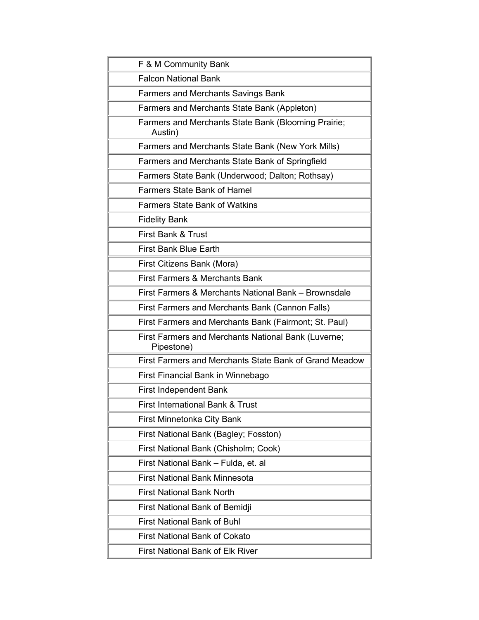<span id="page-2-0"></span>

| F & M Community Bank                                              |  |
|-------------------------------------------------------------------|--|
| <b>Falcon National Bank</b>                                       |  |
| <b>Farmers and Merchants Savings Bank</b>                         |  |
| Farmers and Merchants State Bank (Appleton)                       |  |
| Farmers and Merchants State Bank (Blooming Prairie;<br>Austin)    |  |
| Farmers and Merchants State Bank (New York Mills)                 |  |
| Farmers and Merchants State Bank of Springfield                   |  |
| Farmers State Bank (Underwood; Dalton; Rothsay)                   |  |
| <b>Farmers State Bank of Hamel</b>                                |  |
| <b>Farmers State Bank of Watkins</b>                              |  |
| <b>Fidelity Bank</b>                                              |  |
| First Bank & Trust                                                |  |
| <b>First Bank Blue Earth</b>                                      |  |
| First Citizens Bank (Mora)                                        |  |
| <b>First Farmers &amp; Merchants Bank</b>                         |  |
| First Farmers & Merchants National Bank - Brownsdale              |  |
| First Farmers and Merchants Bank (Cannon Falls)                   |  |
| First Farmers and Merchants Bank (Fairmont; St. Paul)             |  |
| First Farmers and Merchants National Bank (Luverne;<br>Pipestone) |  |
| First Farmers and Merchants State Bank of Grand Meadow            |  |
| First Financial Bank in Winnebago                                 |  |
| <b>First Independent Bank</b>                                     |  |
| First International Bank & Trust                                  |  |
| First Minnetonka City Bank                                        |  |
| First National Bank (Bagley; Fosston)                             |  |
| First National Bank (Chisholm; Cook)                              |  |
| First National Bank - Fulda, et. al                               |  |
| <b>First National Bank Minnesota</b>                              |  |
| <b>First National Bank North</b>                                  |  |
| First National Bank of Bemidji                                    |  |
| <b>First National Bank of Buhl</b>                                |  |
| <b>First National Bank of Cokato</b>                              |  |
| <b>First National Bank of Elk River</b>                           |  |
|                                                                   |  |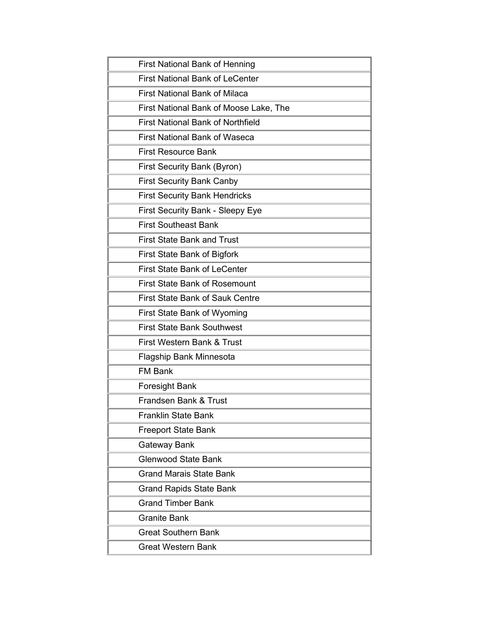<span id="page-3-0"></span>

| <b>First National Bank of Henning</b>    |
|------------------------------------------|
| <b>First National Bank of LeCenter</b>   |
| <b>First National Bank of Milaca</b>     |
| First National Bank of Moose Lake, The   |
| <b>First National Bank of Northfield</b> |
| <b>First National Bank of Waseca</b>     |
| <b>First Resource Bank</b>               |
| First Security Bank (Byron)              |
| <b>First Security Bank Canby</b>         |
| <b>First Security Bank Hendricks</b>     |
| First Security Bank - Sleepy Eye         |
| <b>First Southeast Bank</b>              |
| <b>First State Bank and Trust</b>        |
| First State Bank of Bigfork              |
| <b>First State Bank of LeCenter</b>      |
| <b>First State Bank of Rosemount</b>     |
| <b>First State Bank of Sauk Centre</b>   |
| First State Bank of Wyoming              |
| <b>First State Bank Southwest</b>        |
| First Western Bank & Trust               |
| Flagship Bank Minnesota                  |
| <b>FM Bank</b>                           |
| Foresight Bank                           |
| Frandsen Bank & Trust                    |
| <b>Franklin State Bank</b>               |
| <b>Freeport State Bank</b>               |
| Gateway Bank                             |
| <b>Glenwood State Bank</b>               |
| <b>Grand Marais State Bank</b>           |
| <b>Grand Rapids State Bank</b>           |
| <b>Grand Timber Bank</b>                 |
| Granite Bank                             |
| <b>Great Southern Bank</b>               |
| Great Western Bank                       |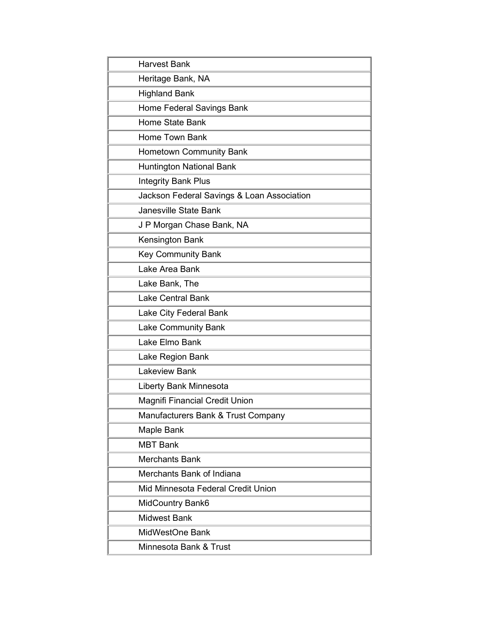<span id="page-4-4"></span><span id="page-4-3"></span><span id="page-4-2"></span><span id="page-4-1"></span><span id="page-4-0"></span>

| <b>Harvest Bank</b>                        |  |
|--------------------------------------------|--|
| Heritage Bank, NA                          |  |
| <b>Highland Bank</b>                       |  |
| Home Federal Savings Bank                  |  |
| Home State Bank                            |  |
| Home Town Bank                             |  |
| Hometown Community Bank                    |  |
| <b>Huntington National Bank</b>            |  |
| <b>Integrity Bank Plus</b>                 |  |
| Jackson Federal Savings & Loan Association |  |
| <b>Janesville State Bank</b>               |  |
| J P Morgan Chase Bank, NA                  |  |
| Kensington Bank                            |  |
| <b>Key Community Bank</b>                  |  |
| Lake Area Bank                             |  |
| Lake Bank, The                             |  |
| <b>Lake Central Bank</b>                   |  |
| Lake City Federal Bank                     |  |
| <b>Lake Community Bank</b>                 |  |
| Lake Elmo Bank                             |  |
| Lake Region Bank                           |  |
| <b>Lakeview Bank</b>                       |  |
| Liberty Bank Minnesota                     |  |
| Magnifi Financial Credit Union             |  |
| Manufacturers Bank & Trust Company         |  |
| Maple Bank                                 |  |
| <b>MBT Bank</b>                            |  |
| <b>Merchants Bank</b>                      |  |
| Merchants Bank of Indiana                  |  |
| Mid Minnesota Federal Credit Union         |  |
| <b>MidCountry Bank6</b>                    |  |
| <b>Midwest Bank</b>                        |  |
| MidWestOne Bank                            |  |
| Minnesota Bank & Trust                     |  |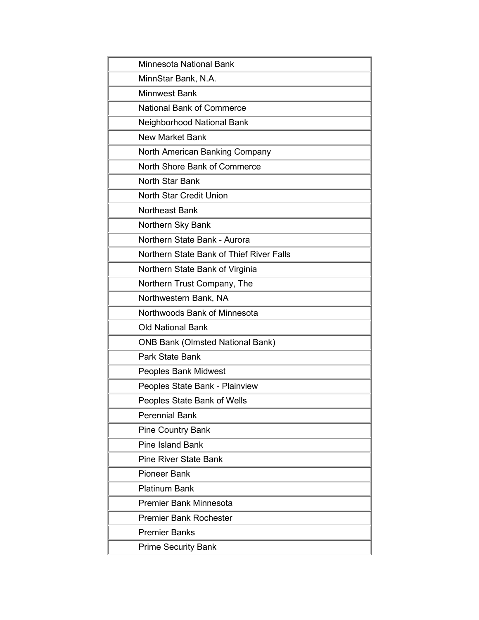<span id="page-5-2"></span><span id="page-5-1"></span><span id="page-5-0"></span>

| Minnesota National Bank                  |
|------------------------------------------|
| MinnStar Bank, N.A.                      |
| <b>Minnwest Bank</b>                     |
| <b>National Bank of Commerce</b>         |
| Neighborhood National Bank               |
| <b>New Market Bank</b>                   |
| North American Banking Company           |
| North Shore Bank of Commerce             |
| <b>North Star Bank</b>                   |
| <b>North Star Credit Union</b>           |
| Northeast Bank                           |
| Northern Sky Bank                        |
| Northern State Bank - Aurora             |
| Northern State Bank of Thief River Falls |
| Northern State Bank of Virginia          |
| Northern Trust Company, The              |
| Northwestern Bank, NA                    |
| Northwoods Bank of Minnesota             |
| <b>Old National Bank</b>                 |
| <b>ONB Bank (Olmsted National Bank)</b>  |
| <b>Park State Bank</b>                   |
| <b>Peoples Bank Midwest</b>              |
| Peoples State Bank - Plainview           |
| Peoples State Bank of Wells              |
| <b>Perennial Bank</b>                    |
| <b>Pine Country Bank</b>                 |
| <b>Pine Island Bank</b>                  |
| <b>Pine River State Bank</b>             |
| <b>Pioneer Bank</b>                      |
| <b>Platinum Bank</b>                     |
| <b>Premier Bank Minnesota</b>            |
| <b>Premier Bank Rochester</b>            |
| <b>Premier Banks</b>                     |
| <b>Prime Security Bank</b>               |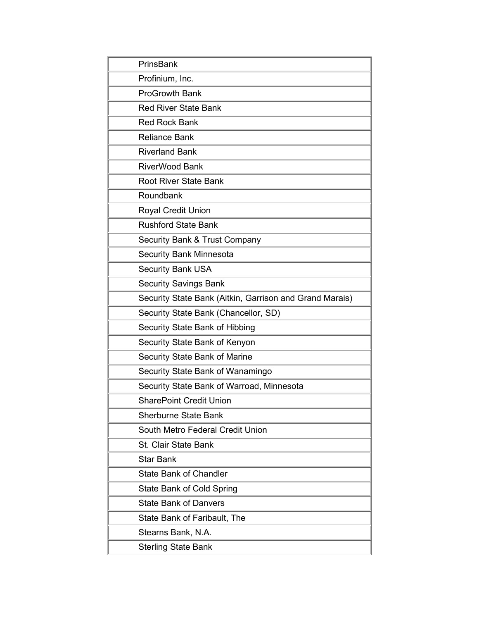<span id="page-6-1"></span><span id="page-6-0"></span>

| PrinsBank                                               |
|---------------------------------------------------------|
| Profinium, Inc.                                         |
| <b>ProGrowth Bank</b>                                   |
| <b>Red River State Bank</b>                             |
| <b>Red Rock Bank</b>                                    |
| <b>Reliance Bank</b>                                    |
| <b>Riverland Bank</b>                                   |
| <b>RiverWood Bank</b>                                   |
| <b>Root River State Bank</b>                            |
| Roundbank                                               |
| <b>Royal Credit Union</b>                               |
| <b>Rushford State Bank</b>                              |
| Security Bank & Trust Company                           |
| <b>Security Bank Minnesota</b>                          |
| <b>Security Bank USA</b>                                |
| <b>Security Savings Bank</b>                            |
| Security State Bank (Aitkin, Garrison and Grand Marais) |
| Security State Bank (Chancellor, SD)                    |
| Security State Bank of Hibbing                          |
| Security State Bank of Kenyon                           |
| <b>Security State Bank of Marine</b>                    |
| Security State Bank of Wanamingo                        |
| Security State Bank of Warroad, Minnesota               |
| <b>SharePoint Credit Union</b>                          |
| <b>Sherburne State Bank</b>                             |
| South Metro Federal Credit Union                        |
| <b>St. Clair State Bank</b>                             |
| <b>Star Bank</b>                                        |
| <b>State Bank of Chandler</b>                           |
| State Bank of Cold Spring                               |
| <b>State Bank of Danvers</b>                            |
| State Bank of Faribault, The                            |
| Stearns Bank, N.A.                                      |
| <b>Sterling State Bank</b>                              |